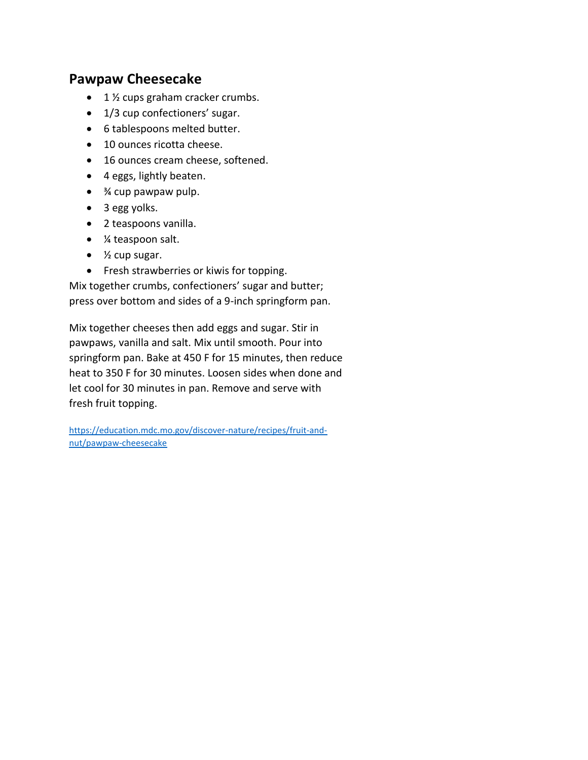### **Pawpaw Cheesecake**

- $\bullet$  1 % cups graham cracker crumbs.
- 1/3 cup confectioners' sugar.
- 6 tablespoons melted butter.
- 10 ounces ricotta cheese.
- 16 ounces cream cheese, softened.
- 4 eggs, lightly beaten.
- <sup>3</sup>⁄4 cup pawpaw pulp.
- 3 egg yolks.
- 2 teaspoons vanilla.
- ¼ teaspoon salt.
- $\bullet$  % cup sugar.
- Fresh strawberries or kiwis for topping.

Mix together crumbs, confectioners' sugar and butter; press over bottom and sides of a 9-inch springform pan.

Mix together cheeses then add eggs and sugar. Stir in pawpaws, vanilla and salt. Mix until smooth. Pour into springform pan. Bake at 450 F for 15 minutes, then reduce heat to 350 F for 30 minutes. Loosen sides when done and let cool for 30 minutes in pan. Remove and serve with fresh fruit topping.

[https://education.mdc.mo.gov/discover-nature/recipes/fruit-and](https://education.mdc.mo.gov/discover-nature/recipes/fruit-and-nut/pawpaw-cheesecake)[nut/pawpaw-cheesecake](https://education.mdc.mo.gov/discover-nature/recipes/fruit-and-nut/pawpaw-cheesecake)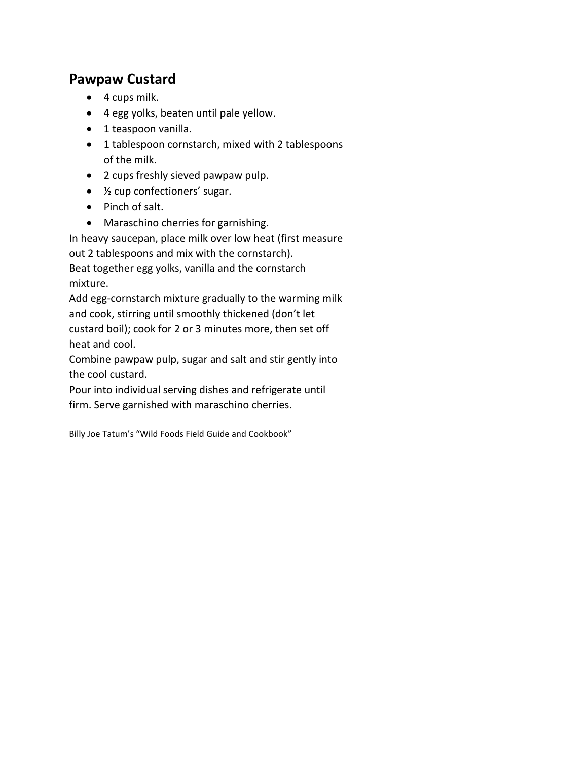## **Pawpaw Custard**

- 4 cups milk.
- 4 egg yolks, beaten until pale yellow.
- 1 teaspoon vanilla.
- 1 tablespoon cornstarch, mixed with 2 tablespoons of the milk.
- 2 cups freshly sieved pawpaw pulp.
- ½ cup confectioners' sugar.
- Pinch of salt.
- Maraschino cherries for garnishing.

In heavy saucepan, place milk over low heat (first measure out 2 tablespoons and mix with the cornstarch). Beat together egg yolks, vanilla and the cornstarch mixture.

Add egg-cornstarch mixture gradually to the warming milk and cook, stirring until smoothly thickened (don't let custard boil); cook for 2 or 3 minutes more, then set off heat and cool.

Combine pawpaw pulp, sugar and salt and stir gently into the cool custard.

Pour into individual serving dishes and refrigerate until

firm. Serve garnished with maraschino cherries.

Billy Joe Tatum's "Wild Foods Field Guide and Cookbook"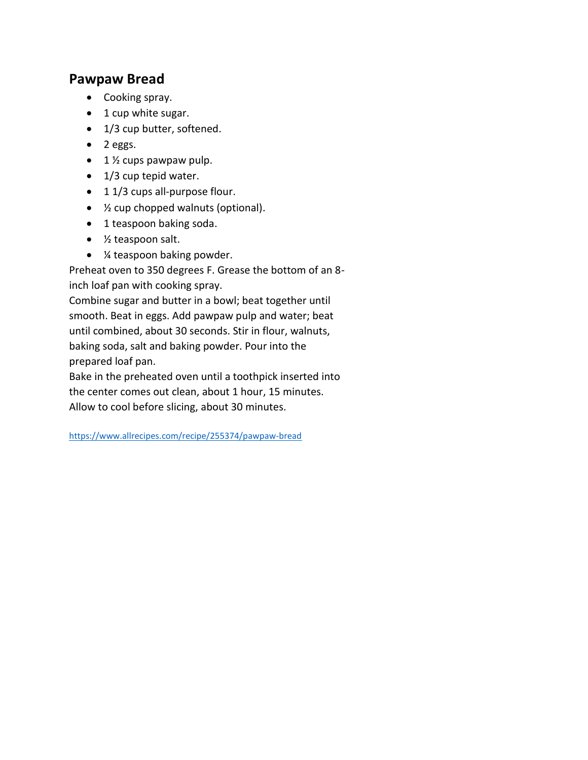### **Pawpaw Bread**

- Cooking spray.
- 1 cup white sugar.
- 1/3 cup butter, softened.
- $\bullet$  2 eggs.
- $\bullet$  1  $\frac{1}{2}$  cups pawpaw pulp.
- 1/3 cup tepid water.
- 11/3 cups all-purpose flour.
- ½ cup chopped walnuts (optional).
- 1 teaspoon baking soda.
- ½ teaspoon salt.
- ¼ teaspoon baking powder.

Preheat oven to 350 degrees F. Grease the bottom of an 8 inch loaf pan with cooking spray.

Combine sugar and butter in a bowl; beat together until smooth. Beat in eggs. Add pawpaw pulp and water; beat until combined, about 30 seconds. Stir in flour, walnuts, baking soda, salt and baking powder. Pour into the prepared loaf pan.

Bake in the preheated oven until a toothpick inserted into the center comes out clean, about 1 hour, 15 minutes. Allow to cool before slicing, about 30 minutes.

<https://www.allrecipes.com/recipe/255374/pawpaw-bread>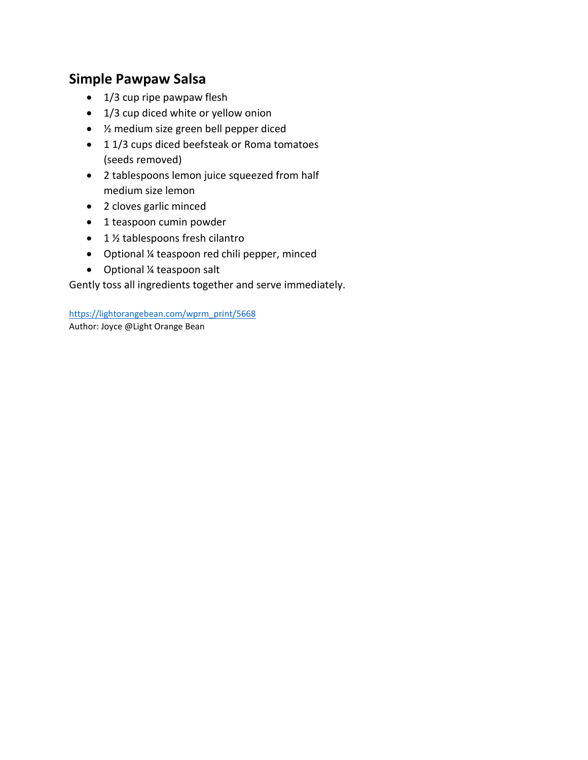# **Simple Pawpaw Salsa**

- $\bullet$  1/3 cup ripe pawpaw flesh
- 1/3 cup diced white or yellow onion
- ½ medium size green bell pepper diced
- 11/3 cups diced beefsteak or Roma tomatoes (seeds removed)
- 2 tablespoons lemon juice squeezed from half medium size lemon
- 2 cloves garlic minced
- 1 teaspoon cumin powder
- $\bullet$  1 % tablespoons fresh cilantro
- Optional ¼ teaspoon red chili pepper, minced
- Optional ¼ teaspoon salt

Gently toss all ingredients together and serve immediately.

[https://lightorangebean.com/wprm\\_print/5668](https://lightorangebean.com/wprm_print/5668) Author: Joyce @Light Orange Bean